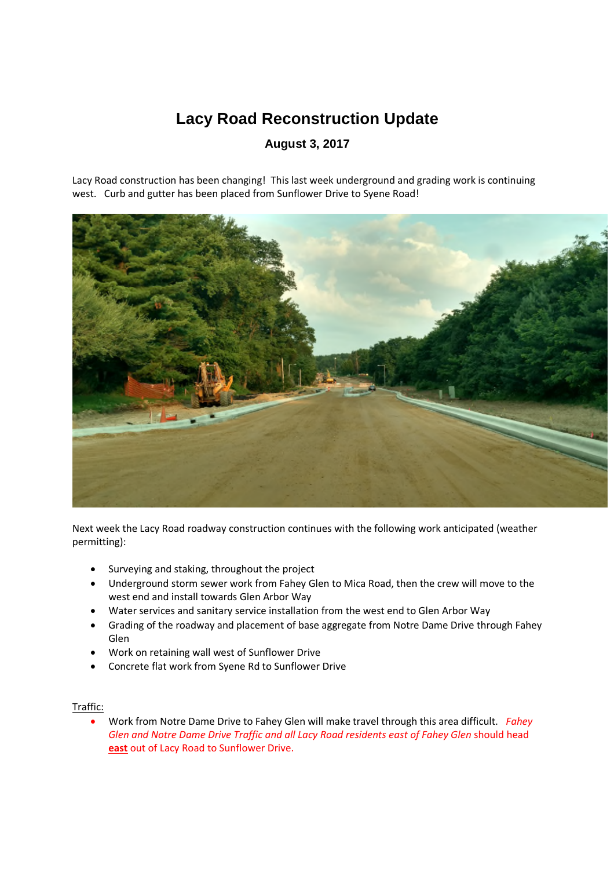## **Lacy Road Reconstruction Update**

## **August 3, 2017**

Lacy Road construction has been changing! This last week underground and grading work is continuing west. Curb and gutter has been placed from Sunflower Drive to Syene Road!



Next week the Lacy Road roadway construction continues with the following work anticipated (weather permitting):

- Surveying and staking, throughout the project
- Underground storm sewer work from Fahey Glen to Mica Road, then the crew will move to the west end and install towards Glen Arbor Way
- Water services and sanitary service installation from the west end to Glen Arbor Way
- Grading of the roadway and placement of base aggregate from Notre Dame Drive through Fahey Glen
- Work on retaining wall west of Sunflower Drive
- Concrete flat work from Syene Rd to Sunflower Drive

## Traffic:

 Work from Notre Dame Drive to Fahey Glen will make travel through this area difficult. *Fahey Glen and Notre Dame Drive Traffic and all Lacy Road residents east of Fahey Glen* should head **east** out of Lacy Road to Sunflower Drive.